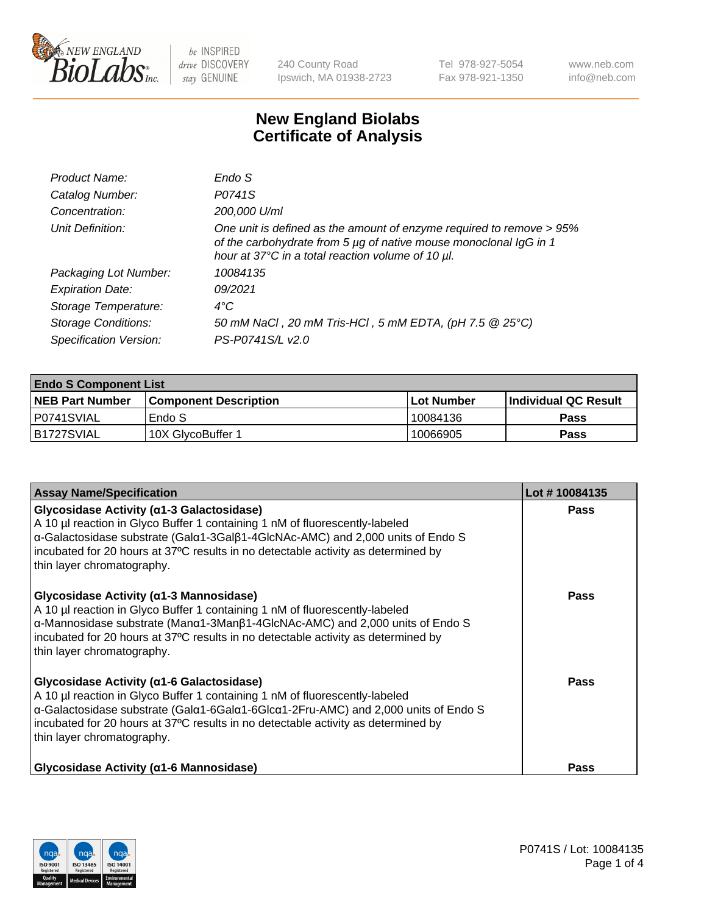

240 County Road Ipswich, MA 01938-2723 Tel 978-927-5054 Fax 978-921-1350 www.neb.com info@neb.com

## **New England Biolabs Certificate of Analysis**

| Product Name:              | Endo S                                                                                                                                                                                         |
|----------------------------|------------------------------------------------------------------------------------------------------------------------------------------------------------------------------------------------|
| Catalog Number:            | P0741S                                                                                                                                                                                         |
| Concentration:             | 200,000 U/ml                                                                                                                                                                                   |
| Unit Definition:           | One unit is defined as the amount of enzyme required to remove > 95%<br>of the carbohydrate from 5 µg of native mouse monoclonal IgG in 1<br>hour at 37°C in a total reaction volume of 10 µl. |
| Packaging Lot Number:      | 10084135                                                                                                                                                                                       |
| <b>Expiration Date:</b>    | 09/2021                                                                                                                                                                                        |
| Storage Temperature:       | $4^{\circ}$ C                                                                                                                                                                                  |
| <b>Storage Conditions:</b> | 50 mM NaCl, 20 mM Tris-HCl, 5 mM EDTA, (pH 7.5 @ 25°C)                                                                                                                                         |
| Specification Version:     | PS-P0741S/L v2.0                                                                                                                                                                               |

| <b>Endo S Component List</b> |                         |              |                             |  |  |
|------------------------------|-------------------------|--------------|-----------------------------|--|--|
| <b>NEB Part Number</b>       | l Component Description | l Lot Number | <b>Individual QC Result</b> |  |  |
| I P0741SVIAL                 | Endo S                  | 10084136     | <b>Pass</b>                 |  |  |
| IB1727SVIAL                  | 10X GlycoBuffer 1       | 10066905     | Pass                        |  |  |

| <b>Assay Name/Specification</b>                                                                                                                                                                                                                                                                                                                             | Lot #10084135 |
|-------------------------------------------------------------------------------------------------------------------------------------------------------------------------------------------------------------------------------------------------------------------------------------------------------------------------------------------------------------|---------------|
| Glycosidase Activity (α1-3 Galactosidase)<br>A 10 µl reaction in Glyco Buffer 1 containing 1 nM of fluorescently-labeled<br>α-Galactosidase substrate (Galα1-3Galβ1-4GlcNAc-AMC) and 2,000 units of Endo S<br>incubated for 20 hours at 37°C results in no detectable activity as determined by<br>thin layer chromatography.                               | Pass          |
| Glycosidase Activity ( $\alpha$ 1-3 Mannosidase)<br>A 10 µl reaction in Glyco Buffer 1 containing 1 nM of fluorescently-labeled<br>$\alpha$ -Mannosidase substrate (Man $\alpha$ 1-3Man $\beta$ 1-4GlcNAc-AMC) and 2,000 units of Endo S<br>incubated for 20 hours at 37°C results in no detectable activity as determined by<br>thin layer chromatography. | <b>Pass</b>   |
| Glycosidase Activity (α1-6 Galactosidase)<br>A 10 µl reaction in Glyco Buffer 1 containing 1 nM of fluorescently-labeled<br>α-Galactosidase substrate (Galα1-6Galα1-6Glcα1-2Fru-AMC) and 2,000 units of Endo S<br>incubated for 20 hours at 37°C results in no detectable activity as determined by<br>thin layer chromatography.                           | Pass          |
| Glycosidase Activity (α1-6 Mannosidase)                                                                                                                                                                                                                                                                                                                     | <b>Pass</b>   |

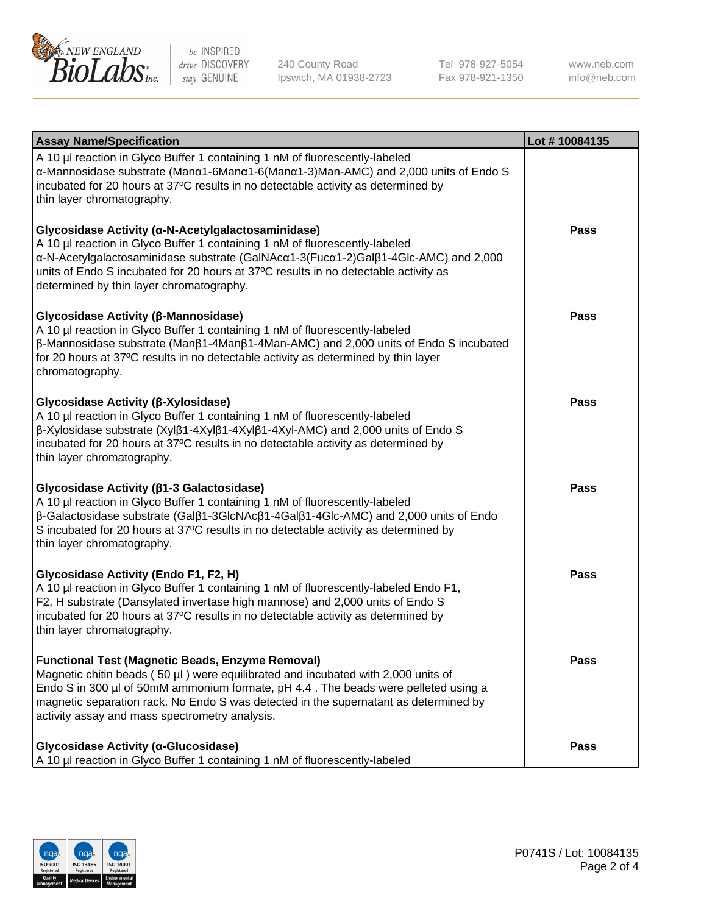

240 County Road Ipswich, MA 01938-2723 Tel 978-927-5054 Fax 978-921-1350

www.neb.com info@neb.com

| <b>Assay Name/Specification</b>                                                                                                                                                                                                                                                                                                                                              | Lot #10084135 |
|------------------------------------------------------------------------------------------------------------------------------------------------------------------------------------------------------------------------------------------------------------------------------------------------------------------------------------------------------------------------------|---------------|
| A 10 µl reaction in Glyco Buffer 1 containing 1 nM of fluorescently-labeled<br>α-Mannosidase substrate (Μanα1-6Μanα1-6(Μanα1-3)Man-AMC) and 2,000 units of Endo S<br>incubated for 20 hours at 37°C results in no detectable activity as determined by<br>thin layer chromatography.                                                                                         |               |
| Glycosidase Activity (α-N-Acetylgalactosaminidase)<br>A 10 µl reaction in Glyco Buffer 1 containing 1 nM of fluorescently-labeled<br>α-N-Acetylgalactosaminidase substrate (GalNAcα1-3(Fucα1-2)Galβ1-4Glc-AMC) and 2,000<br>units of Endo S incubated for 20 hours at 37°C results in no detectable activity as<br>determined by thin layer chromatography.                  | <b>Pass</b>   |
| Glycosidase Activity (β-Mannosidase)<br>A 10 µl reaction in Glyco Buffer 1 containing 1 nM of fluorescently-labeled<br>$\beta$ -Mannosidase substrate (Man $\beta$ 1-4Man $\beta$ 1-4Man-AMC) and 2,000 units of Endo S incubated<br>for 20 hours at 37°C results in no detectable activity as determined by thin layer<br>chromatography.                                   | <b>Pass</b>   |
| Glycosidase Activity (β-Xylosidase)<br>A 10 µl reaction in Glyco Buffer 1 containing 1 nM of fluorescently-labeled<br>$\beta$ -Xylosidase substrate (Xyl $\beta$ 1-4Xyl $\beta$ 1-4Xyl $\beta$ 1-4Xyl-AMC) and 2,000 units of Endo S<br>incubated for 20 hours at 37°C results in no detectable activity as determined by<br>thin layer chromatography.                      | <b>Pass</b>   |
| Glycosidase Activity (β1-3 Galactosidase)<br>A 10 µl reaction in Glyco Buffer 1 containing 1 nM of fluorescently-labeled<br>$\beta$ -Galactosidase substrate (Gal $\beta$ 1-3GlcNAc $\beta$ 1-4Gal $\beta$ 1-4Glc-AMC) and 2,000 units of Endo<br>S incubated for 20 hours at 37°C results in no detectable activity as determined by<br>thin layer chromatography.          | <b>Pass</b>   |
| Glycosidase Activity (Endo F1, F2, H)<br>A 10 µl reaction in Glyco Buffer 1 containing 1 nM of fluorescently-labeled Endo F1,<br>F2, H substrate (Dansylated invertase high mannose) and 2,000 units of Endo S<br>incubated for 20 hours at 37°C results in no detectable activity as determined by<br>thin layer chromatography.                                            | <b>Pass</b>   |
| <b>Functional Test (Magnetic Beads, Enzyme Removal)</b><br>Magnetic chitin beads (50 µl) were equilibrated and incubated with 2,000 units of<br>Endo S in 300 µl of 50mM ammonium formate, pH 4.4. The beads were pelleted using a<br>magnetic separation rack. No Endo S was detected in the supernatant as determined by<br>activity assay and mass spectrometry analysis. | <b>Pass</b>   |
| Glycosidase Activity (α-Glucosidase)<br>A 10 µl reaction in Glyco Buffer 1 containing 1 nM of fluorescently-labeled                                                                                                                                                                                                                                                          | <b>Pass</b>   |

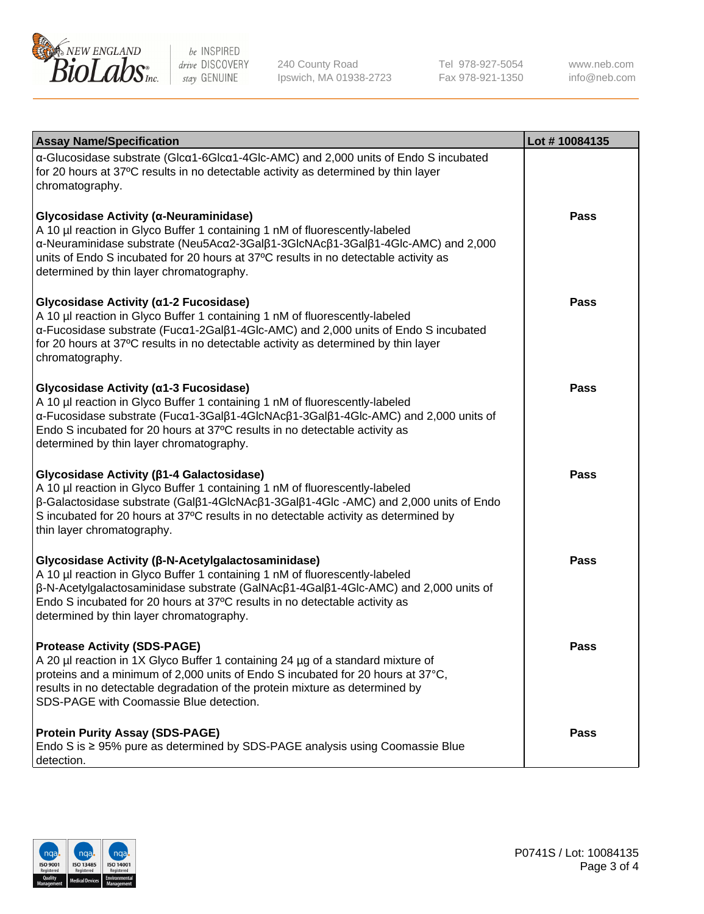

240 County Road Ipswich, MA 01938-2723 Tel 978-927-5054 Fax 978-921-1350

www.neb.com info@neb.com

| <b>Assay Name/Specification</b>                                                                                                                                                                                                                                                                                                                                              | Lot #10084135 |
|------------------------------------------------------------------------------------------------------------------------------------------------------------------------------------------------------------------------------------------------------------------------------------------------------------------------------------------------------------------------------|---------------|
| α-Glucosidase substrate (Glcα1-6Glcα1-4Glc-AMC) and 2,000 units of Endo S incubated<br>for 20 hours at 37°C results in no detectable activity as determined by thin layer<br>chromatography.                                                                                                                                                                                 |               |
| Glycosidase Activity (α-Neuraminidase)<br>A 10 µl reaction in Glyco Buffer 1 containing 1 nM of fluorescently-labeled<br>α-Neuraminidase substrate (Neu5Acα2-3Galβ1-3GlcNAcβ1-3Galβ1-4Glc-AMC) and 2,000<br>units of Endo S incubated for 20 hours at 37°C results in no detectable activity as<br>determined by thin layer chromatography.                                  | <b>Pass</b>   |
| Glycosidase Activity (α1-2 Fucosidase)<br>A 10 µl reaction in Glyco Buffer 1 containing 1 nM of fluorescently-labeled<br>α-Fucosidase substrate (Fucα1-2Galβ1-4Glc-AMC) and 2,000 units of Endo S incubated<br>for 20 hours at 37°C results in no detectable activity as determined by thin layer<br>chromatography.                                                         | <b>Pass</b>   |
| Glycosidase Activity (α1-3 Fucosidase)<br>A 10 µl reaction in Glyco Buffer 1 containing 1 nM of fluorescently-labeled<br>α-Fucosidase substrate (Fucα1-3Galβ1-4GlcNAcβ1-3Galβ1-4Glc-AMC) and 2,000 units of<br>Endo S incubated for 20 hours at 37°C results in no detectable activity as<br>determined by thin layer chromatography.                                        | <b>Pass</b>   |
| Glycosidase Activity ( $\beta$ 1-4 Galactosidase)<br>A 10 µl reaction in Glyco Buffer 1 containing 1 nM of fluorescently-labeled<br>$\beta$ -Galactosidase substrate (Gal $\beta$ 1-4GlcNAc $\beta$ 1-3Gal $\beta$ 1-4Glc -AMC) and 2,000 units of Endo<br>S incubated for 20 hours at 37°C results in no detectable activity as determined by<br>thin layer chromatography. | <b>Pass</b>   |
| Glycosidase Activity (β-N-Acetylgalactosaminidase)<br>A 10 µl reaction in Glyco Buffer 1 containing 1 nM of fluorescently-labeled<br>β-N-Acetylgalactosaminidase substrate (GalNAcβ1-4Galβ1-4Glc-AMC) and 2,000 units of<br>Endo S incubated for 20 hours at 37°C results in no detectable activity as<br>determined by thin layer chromatography.                           | <b>Pass</b>   |
| <b>Protease Activity (SDS-PAGE)</b><br>A 20 µl reaction in 1X Glyco Buffer 1 containing 24 µg of a standard mixture of<br>proteins and a minimum of 2,000 units of Endo S incubated for 20 hours at 37°C,<br>results in no detectable degradation of the protein mixture as determined by<br>SDS-PAGE with Coomassie Blue detection.                                         | Pass          |
| <b>Protein Purity Assay (SDS-PAGE)</b><br>Endo S is ≥ 95% pure as determined by SDS-PAGE analysis using Coomassie Blue<br>detection.                                                                                                                                                                                                                                         | <b>Pass</b>   |